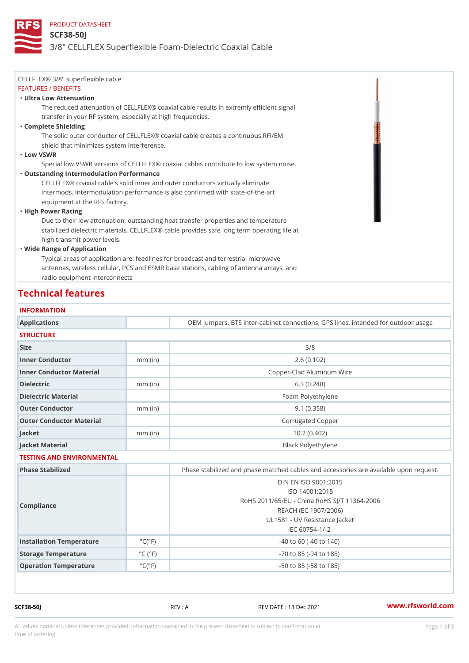### PRODUCT DATASHEET

#### SCF38-50J

# 3/8" CELLFLEX Superflexible Foam-Dielectric Coaxial Cable

| CELLFLEX® 3/8" superflexible cable                                                            |
|-----------------------------------------------------------------------------------------------|
| FEATURES / BENEFITS                                                                           |
| "Ultra Low Attenuation                                                                        |
| The reduced attenuation of CELLFLEX® coaxial cable results in extremly efficient signal       |
| transfer in your RF system, especially at high frequencies.                                   |
| "Complete Shielding                                                                           |
| The solid outer conductor of CELLFLEX <sup>®</sup> coaxial cable creates a continuous RFI/EMI |
| shield that minimizes system interference.                                                    |
| "Low VSWR                                                                                     |
| Special low VSWR versions of CELLFLEX® coaxial cables contribute to low system noise.         |
| "Outstanding Intermodulation Performance                                                      |
| CELLFLEX® coaxial cable's solid inner and outer conductors virtually eliminate                |
| intermods. Intermodulation performance is also confirmed with state-of-the-art                |
| equipment at the RFS factory.                                                                 |
| "High Power Rating                                                                            |
| Due to their low attenuation, outstanding heat transfer properties and temperature            |
| stabilized dielectric materials, CELLFLEX® cable provides safe long term operating life at    |
| high transmit power levels.                                                                   |
| "Wide Range of Application                                                                    |
| Typical areas of application are: feedlines for broadcast and terrestrial microwave           |
| antennas, wireless cellular, PCS and ESMR base stations, cabling of antenna arrays, and       |
| radio equipment interconnects                                                                 |
|                                                                                               |

# Technical features

#### INFORMATION

| Applications              |                              | OEM jumpers, BTS inter-cabinet connections, GPS lines, inten                                                                                                        |
|---------------------------|------------------------------|---------------------------------------------------------------------------------------------------------------------------------------------------------------------|
| <b>STRUCTURE</b>          |                              |                                                                                                                                                                     |
| Size                      |                              | 3/8                                                                                                                                                                 |
| Inner Conductor           | $mm$ (in)                    | 2.6(0.102)                                                                                                                                                          |
| Inner Conductor Material  |                              | Copper-Clad Aluminum Wire                                                                                                                                           |
| Dielectric                | $mm$ (in)                    | 6.3(0.248)                                                                                                                                                          |
| Dielectric Material       |                              | Foam Polyethylene                                                                                                                                                   |
| Outer Conductor           | $mm$ (in)                    | 9.1(0.358)                                                                                                                                                          |
| Outer Conductor Material  |                              | Corrugated Copper                                                                                                                                                   |
| Jacket                    | $mm$ (in)                    | 10.2(0.402)                                                                                                                                                         |
| Jacket Material           |                              | Black Polyethylene                                                                                                                                                  |
| TESTING AND ENVIRONMENTAL |                              |                                                                                                                                                                     |
| Phase Stabilized          |                              | Phase stabilized and phase matched cables and accessories are                                                                                                       |
| Compliance                |                              | DIN EN ISO 9001:2015<br>ISO 14001:2015<br>RoHS 2011/65/EU - China RoHS SJ/T 11364-2006<br>REACH (EC 1907/2006)<br>UL1581 - UV Resistance Jacket<br>$IEC 60754-1/-2$ |
| Installation Temperature  | $^{\circ}$ C ( $^{\circ}$ F) | $-40$ to 60 ( $-40$ to 140)                                                                                                                                         |
| Storage Temperature       | $^{\circ}$ C ( $^{\circ}$ F  | $-70$ to $85$ ( $-94$ to $185$ )                                                                                                                                    |
| Operation Temperature     | $^{\circ}$ C ( $^{\circ}$ F) | $-50$ to $85$ ( $-58$ to $185$ )                                                                                                                                    |

SCF38-50J REV : A REV DATE : 13 Dec 2021 [www.](https://www.rfsworld.com)rfsworld.com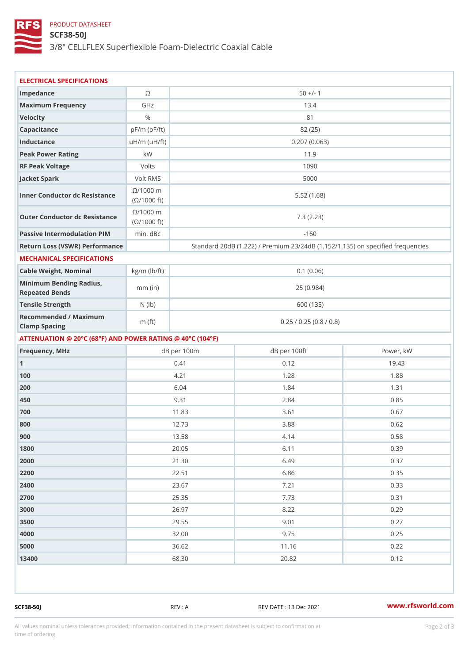## PRODUCT DATASHEET

SCF38-50J

3/8" CELLFLEX Superflexible Foam-Dielectric Coaxial Cable

| ELECTRICAL SPECIFICATIONS                                 |                                  |                         |                                                             |                 |  |  |  |
|-----------------------------------------------------------|----------------------------------|-------------------------|-------------------------------------------------------------|-----------------|--|--|--|
| Impedance                                                 | $\circledcirc$                   |                         | $50 +/- 1$                                                  |                 |  |  |  |
| Maximum Frequency                                         | GHz                              |                         | 13.4                                                        |                 |  |  |  |
| Velocity                                                  | $\%$                             | 81                      |                                                             |                 |  |  |  |
| Capacitance                                               | $pF/m$ ( $pF/ft$ )               |                         | 82 (25)                                                     |                 |  |  |  |
| Inductance                                                | $u H/m$ ( $u F / ft$ )           |                         | 0.207(0.063)                                                |                 |  |  |  |
| Peak Power Rating                                         | k W                              | 11.9                    |                                                             |                 |  |  |  |
| RF Peak Voltage                                           | Volts                            | 1090                    |                                                             |                 |  |  |  |
| Jacket Spark                                              | Volt RMS                         | 5000                    |                                                             |                 |  |  |  |
| Inner Conductor dc Resistance 01000 ft)                   | $@/1000$ n                       | 5.52(1.68)              |                                                             |                 |  |  |  |
| Outer Conductor dc Resistance<br>(©/1000 ft)              | $@/1000$ n                       | 7.3(2.23)               |                                                             |                 |  |  |  |
| Passive Intermodulation PrhMn. dBc                        |                                  | $-160$                  |                                                             |                 |  |  |  |
| Return Loss (VSWR) Performance                            |                                  |                         | Standard 20dB (1.222) / Premium 23/24dB (1.152/1.135) on sp |                 |  |  |  |
| MECHANICAL SPECIFICATIONS                                 |                                  |                         |                                                             |                 |  |  |  |
| Cable Weight, Nominal                                     | $kg/m$ ( $lb/ft$ )<br>0.1 (0.06) |                         |                                                             |                 |  |  |  |
| Minimum Bending Radius, mm (in)<br>Repeated Bends         |                                  | 25(0.984)               |                                                             |                 |  |  |  |
| Tensile Strength                                          | $N$ ( $ b)$                      | 600 (135)               |                                                             |                 |  |  |  |
| Recommended / Maximum<br>Clamp Spacing                    | m $(ft)$                         | 0.25 / 0.25 (0.8 / 0.8) |                                                             |                 |  |  |  |
| ATTENUATION @ 20°C (68°F) AND POWER RATING @ 40°C (104°F) |                                  |                         |                                                             |                 |  |  |  |
| Frequency, MHz                                            |                                  | dB per 100m             | dB per 100ft                                                | Power, kW       |  |  |  |
| 1                                                         |                                  | 0.41                    | 0.12                                                        | 19.43           |  |  |  |
| 100                                                       |                                  | 4.21                    | 1.28                                                        | 1.88            |  |  |  |
| 200                                                       |                                  | 6.04                    | 1.84                                                        | 1.31            |  |  |  |
| 450                                                       |                                  | 9.31                    | $2.84$                                                      | $0.85$          |  |  |  |
| 700                                                       |                                  | 11.83                   | 3.61                                                        | 0.67            |  |  |  |
| 800                                                       |                                  | 12.73                   | $3.88$                                                      | $0.62\,$        |  |  |  |
| 900                                                       |                                  | 13.58                   | 4.14                                                        | 0.58            |  |  |  |
| 1800                                                      |                                  | 20.05                   | 6.11                                                        | 0.39            |  |  |  |
| 2000                                                      |                                  | 21.30                   | 6.49                                                        | 0.37            |  |  |  |
| 2200                                                      |                                  | 22.51                   | $6.86$                                                      | 0.35            |  |  |  |
| 2400                                                      |                                  | 23.67                   | 7.21                                                        | 0.33            |  |  |  |
| 2700                                                      |                                  | 25.35                   | 7.73                                                        | 0.31            |  |  |  |
| 3000                                                      |                                  | 26.97                   | $8.22$                                                      | 0.29            |  |  |  |
| 3500                                                      |                                  | 29.55                   | 9.01                                                        | 0.27            |  |  |  |
| 4000                                                      |                                  | 32.00                   | 9.75                                                        | 0.25            |  |  |  |
| 5000                                                      |                                  | 36.62                   | 11.16                                                       | 0.22            |  |  |  |
| 13400                                                     |                                  | 68.30                   | $20.82$                                                     | 0.12            |  |  |  |
|                                                           |                                  |                         |                                                             |                 |  |  |  |
| SCF38-50J                                                 |                                  | REV : A                 | REV DATE : 13 Dec 2021                                      | www.rfsworld.co |  |  |  |

All values nominal unless tolerances provided; information contained in the present datasheet is subject to Pcapgelio an atio time of ordering